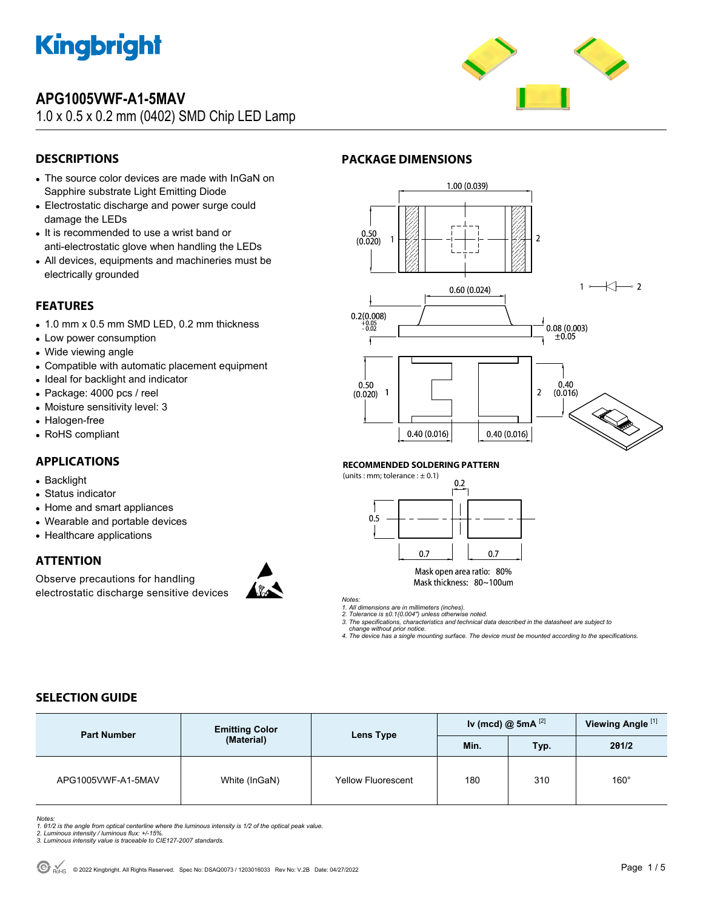

# **APG1005VWF-A1-5MAV**

1.0 x 0.5 x 0.2 mm (0402) SMD Chip LED Lamp



## **DESCRIPTIONS**

- The source color devices are made with InGaN on Sapphire substrate Light Emitting Diode
- Electrostatic discharge and power surge could damage the LEDs
- It is recommended to use a wrist band or anti-electrostatic glove when handling the LEDs
- All devices, equipments and machineries must be electrically grounded

### **FEATURES**

- 1.0 mm x 0.5 mm SMD LED, 0.2 mm thickness
- Low power consumption
- Wide viewing angle
- Compatible with automatic placement equipment
- Ideal for backlight and indicator
- Package: 4000 pcs / reel
- Moisture sensitivity level: 3
- Halogen-free
- RoHS compliant

### **APPLICATIONS**

- Backlight
- Status indicator
- Home and smart appliances
- Wearable and portable devices
- Healthcare applications

#### **ATTENTION**

Observe precautions for handling electrostatic discharge sensitive devices





#### **RECOMMENDED SOLDERING PATTERN**

**PACKAGE DIMENSIONS** 

(units : mm; tolerance  $: \pm 0.1$ )



Mask open area ratio: 80% Mask thickness: 80~100um

*Notes: 1. All dimensions are in millimeters (inches). 2. Tolerance is ±0.1(0.004") unless otherwise noted.* 

*3. The specifications, characteristics and technical data described in the datasheet are subject to* 

 *change without prior notice. 4. The device has a single mounting surface. The device must be mounted according to the specifications.* 

## **SELECTION GUIDE**

| <b>Part Number</b> | <b>Emitting Color</b> | Lens Type                 | Iv (mcd) @ 5mA $^{[2]}$ |      | Viewing Angle <sup>[1]</sup> |
|--------------------|-----------------------|---------------------------|-------------------------|------|------------------------------|
|                    | (Material)            |                           | Min.                    | Typ. | 201/2                        |
| APG1005VWF-A1-5MAV | White (InGaN)         | <b>Yellow Fluorescent</b> | 180                     | 310  | $160^\circ$                  |

*Notes:* 

*1. θ1/2 is the angle from optical centerline where the luminous intensity is 1/2 of the optical peak value. 2. Luminous intensity / luminous flux: +/-15%.* 

- 
- *3. Luminous intensity value is traceable to CIE127-2007 standards.*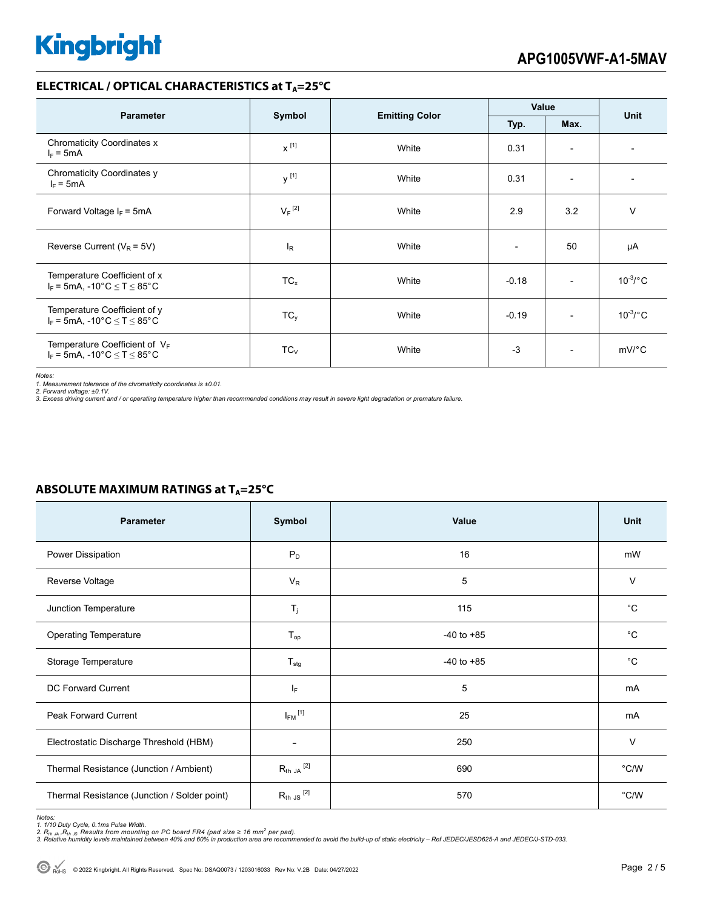### **ELECTRICAL / OPTICAL CHARACTERISTICS at T<sub>A</sub>=25°C**

| <b>Parameter</b>                                                                              | Symbol               | <b>Emitting Color</b> | Value                        |                          | <b>Unit</b>           |  |
|-----------------------------------------------------------------------------------------------|----------------------|-----------------------|------------------------------|--------------------------|-----------------------|--|
|                                                                                               |                      |                       | Typ.                         | Max.                     |                       |  |
| <b>Chromaticity Coordinates x</b><br>$I_F = 5mA$                                              | $x^{[1]}$            | White                 | 0.31                         | $\overline{\phantom{a}}$ |                       |  |
| Chromaticity Coordinates y<br>$I_F = 5mA$                                                     | y <sup>[1]</sup>     | White                 | 0.31                         | $\overline{\phantom{a}}$ |                       |  |
| Forward Voltage $I_F = 5mA$                                                                   | $V_F$ <sup>[2]</sup> | White                 | 2.9                          | 3.2                      | $\vee$                |  |
| Reverse Current ( $V_R$ = 5V)                                                                 | <sub>R</sub>         | White                 | $\qquad \qquad \blacksquare$ | 50                       | μA                    |  |
| Temperature Coefficient of x<br>$I_F$ = 5mA, -10°C $\leq$ T $\leq$ 85°C                       | $TC_{x}$             | White                 | $-0.18$                      | $\overline{\phantom{a}}$ | $10^{-3}$ /°C         |  |
| Temperature Coefficient of y<br>$I_F$ = 5mA, -10 $^{\circ}$ C $\leq$ T $\leq$ 85 $^{\circ}$ C | $TC_y$               | White                 | $-0.19$                      | $\overline{\phantom{0}}$ | $10^{-3}$ /°C         |  |
| Temperature Coefficient of $V_F$<br>$I_F$ = 5mA, -10°C $\leq$ T $\leq$ 85°C                   | $TC_{V}$             | White                 | $-3$                         | $\overline{\phantom{a}}$ | $mV$ <sup>o</sup> $C$ |  |

*Notes:* 

1. Measurement tolerance of the chromaticity coordinates is ±0.01.<br>2. Forward voltage: ±0.1V.<br>3. Excess driving current and / or operating temperature higher than recommended conditions may result in severe light degradati

| <b>Parameter</b>                             | Symbol                     | Value          | Unit          |
|----------------------------------------------|----------------------------|----------------|---------------|
| Power Dissipation                            | $P_D$                      | 16             | mW            |
| Reverse Voltage                              | $V_R$                      | 5              | V             |
| Junction Temperature                         | $T_j$                      | 115            | $^{\circ}C$   |
| <b>Operating Temperature</b>                 | $\mathsf{T}_{\mathsf{op}}$ | $-40$ to $+85$ | $^{\circ}$ C  |
| Storage Temperature                          | $T_{\text{stg}}$           | $-40$ to $+85$ | $^{\circ}C$   |
| <b>DC Forward Current</b>                    | $I_F$                      | 5              | mA            |
| Peak Forward Current                         | $I_{FM}$ <sup>[1]</sup>    | 25             | mA            |
| Electrostatic Discharge Threshold (HBM)      | ۰                          | 250            | V             |
| Thermal Resistance (Junction / Ambient)      | $R_{th}$ ja $^{[2]}$       | 690            | $\degree$ C/W |
| Thermal Resistance (Junction / Solder point) | $R_{th}$ JS $^{[2]}$       | 570            | $\degree$ C/W |

## **ABSOLUTE MAXIMUM RATINGS at T<sub>A</sub>=25°C**

Notes:<br>1. 1/10 Duty Cycle, 0.1ms Pulse Width.<br>2. R<sub>th JA</sub> ,R<sub>th JS</sub> Results from mounting on PC board FR4 (pad size ≥ 16 mm<sup>2</sup> per pad).<br>3. Relative humidity levels maintained between 40% and 60% in production area are re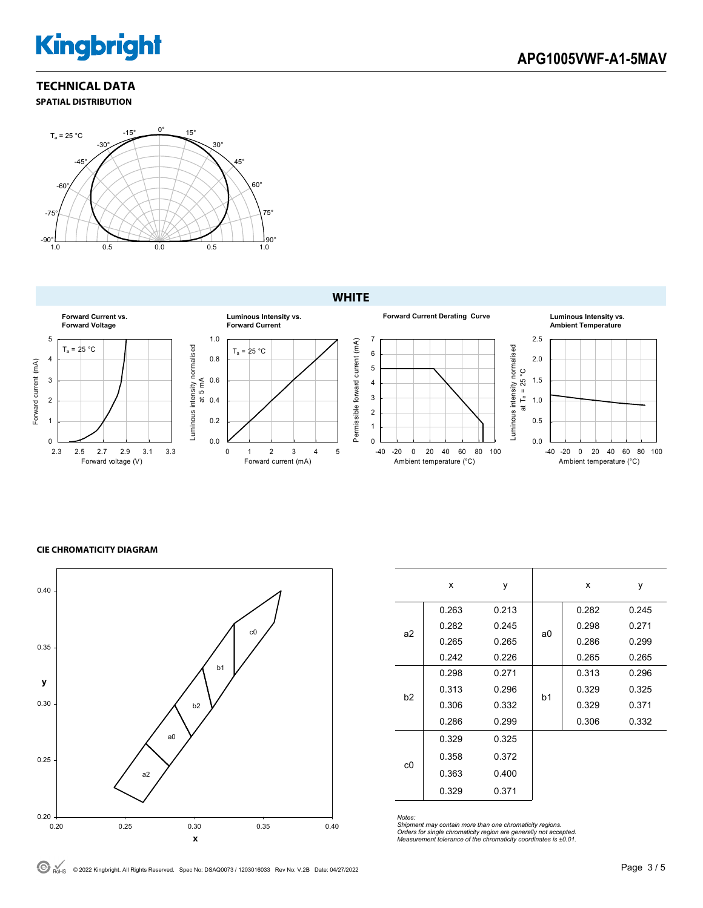# **Kingbright**

#### **TECHNICAL DATA SPATIAL DISTRIBUTION**



#### **WHITE**



#### **CIE CHROMATICITY DIAGRAM**



|                | x     | у     |    | x     | у     |
|----------------|-------|-------|----|-------|-------|
|                | 0.263 | 0.213 |    | 0.282 | 0.245 |
| a2             | 0.282 | 0.245 | a0 | 0.298 | 0.271 |
|                | 0.265 | 0.265 |    | 0.286 | 0.299 |
|                | 0.242 | 0.226 |    | 0.265 | 0.265 |
|                | 0.298 | 0.271 |    | 0.313 | 0.296 |
| b <sub>2</sub> | 0.313 | 0.296 | b1 | 0.329 | 0.325 |
|                | 0.306 | 0.332 |    | 0.329 | 0.371 |
|                | 0.286 | 0.299 |    | 0.306 | 0.332 |
|                | 0.329 | 0.325 |    |       |       |
| c0             | 0.358 | 0.372 |    |       |       |
|                | 0.363 | 0.400 |    |       |       |
|                | 0.329 | 0.371 |    |       |       |

*Notes:* 

*Shipment may contain more than one chromaticity regions. Orders for single chromaticity region are generally not accepted. Measurement tolerance of the chromaticity coordinates is ±0.01.*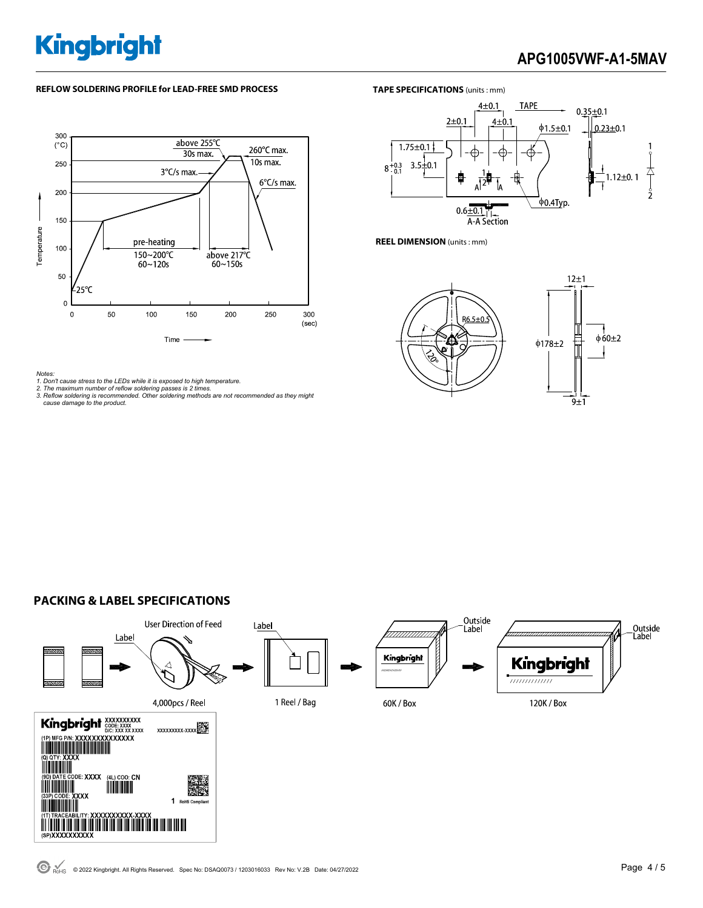# **Kingbright**

# **APG1005VWF-A1-5MAV**

#### **REFLOW SOLDERING PROFILE for LEAD-FREE SMD PROCESS**



#### *Notes:*

*1. Don't cause stress to the LEDs while it is exposed to high temperature. 2. The maximum number of reflow soldering passes is 2 times.* 

- 
- *3. Reflow soldering is recommended. Other soldering methods are not recommended as they might cause damage to the product.*





**REEL DIMENSION** (units : mm)



#### **PACKING & LABEL SPECIFICATIONS**



 $\bigodot$  RoHS © 2022 Kingbright. All Rights Reserved. Spec No: DSAQ0073 / 1203016033 Rev No: V.2B Date: 04/27/2022 **Page 2 / 5** Page 4 / 5